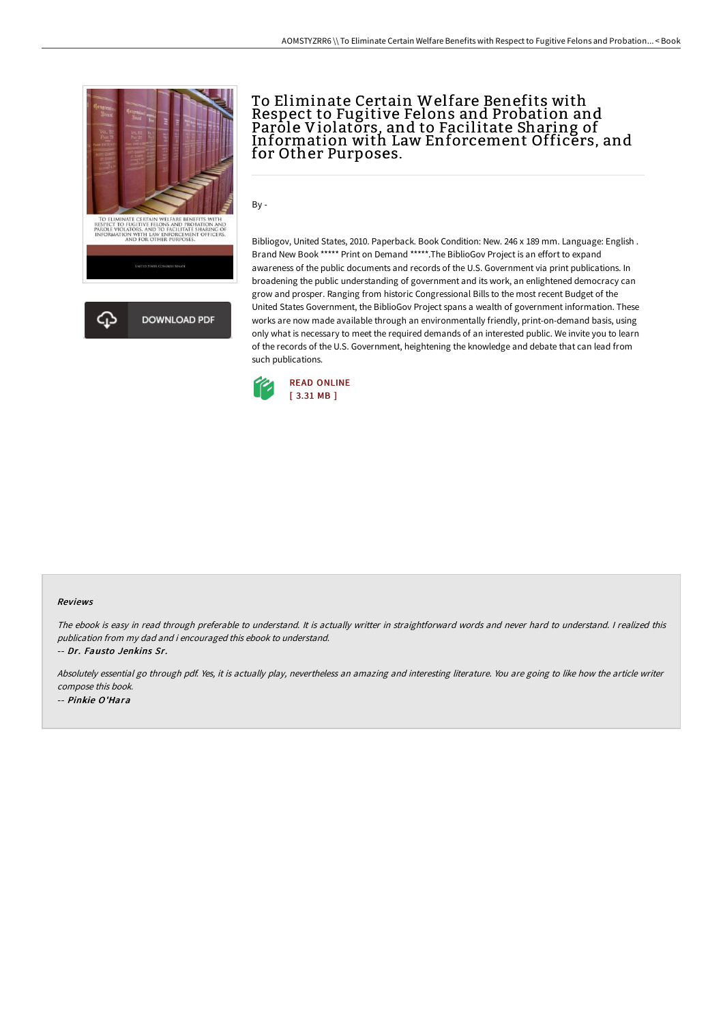

## To Eliminate Certain Welfare Benefits with Respect to Fugitive Felons and Probation and Parole Violators, and to Facilitate Sharing of Information with Law Enforcement Officers, and for Other Purposes.

By -

Bibliogov, United States, 2010. Paperback. Book Condition: New. 246 x 189 mm. Language: English . Brand New Book \*\*\*\*\* Print on Demand \*\*\*\*\*.The BiblioGov Project is an effort to expand awareness of the public documents and records of the U.S. Government via print publications. In broadening the public understanding of government and its work, an enlightened democracy can grow and prosper. Ranging from historic Congressional Bills to the most recent Budget of the United States Government, the BiblioGov Project spans a wealth of government information. These works are now made available through an environmentally friendly, print-on-demand basis, using only what is necessary to meet the required demands of an interested public. We invite you to learn of the records of the U.S. Government, heightening the knowledge and debate that can lead from such publications.



## Reviews

The ebook is easy in read through preferable to understand. It is actually writter in straightforward words and never hard to understand. <sup>I</sup> realized this publication from my dad and i encouraged this ebook to understand. -- Dr. Fausto Jenkins Sr.

Absolutely essential go through pdf. Yes, it is actually play, nevertheless an amazing and interesting literature. You are going to like how the article writer compose this book. -- Pinkie O'Hara